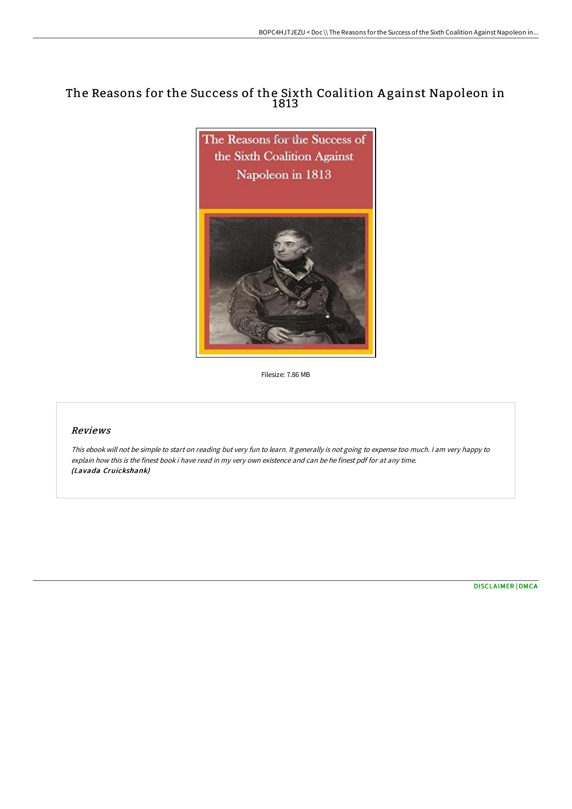# The Reasons for the Success of the Sixth Coalition A gainst Napoleon in 1813



Filesize: 7.86 MB

### Reviews

This ebook will not be simple to start on reading but very fun to learn. It generally is not going to expense too much. <sup>I</sup> am very happy to explain how this is the finest book i have read in my very own existence and can be he finest pdf for at any time. (Lavada Cruickshank)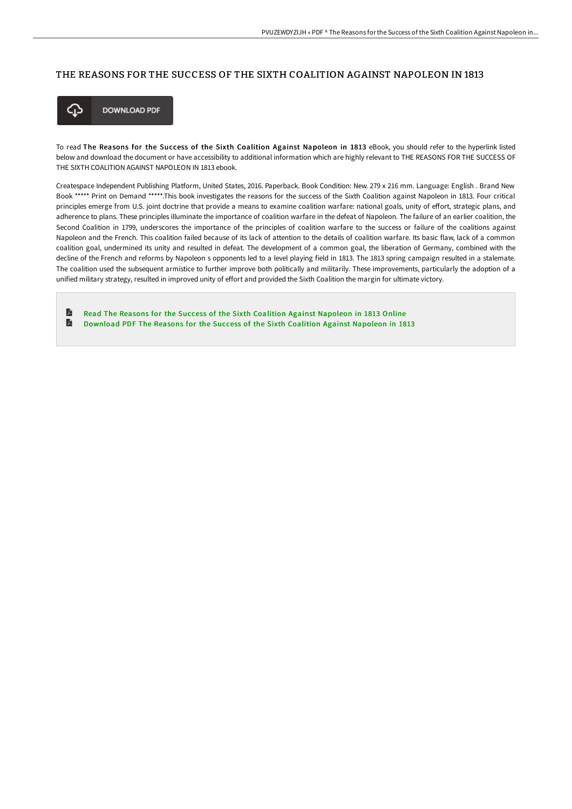#### THE REASONS FOR THE SUCCESS OF THE SIXTH COALITION AGAINST NAPOLEON IN 1813



**DOWNLOAD PDF** 

To read The Reasons for the Success of the Sixth Coalition Against Napoleon in 1813 eBook, you should refer to the hyperlink listed below and download the document or have accessibility to additional information which are highly relevant to THE REASONS FOR THE SUCCESS OF THE SIXTH COALITION AGAINST NAPOLEON IN 1813 ebook.

Createspace Independent Publishing Platform, United States, 2016. Paperback. Book Condition: New. 279 x 216 mm. Language: English . Brand New Book \*\*\*\*\* Print on Demand \*\*\*\*\*.This book investigates the reasons for the success of the Sixth Coalition against Napoleon in 1813. Four critical principles emerge from U.S. joint doctrine that provide a means to examine coalition warfare: national goals, unity of effort, strategic plans, and adherence to plans. These principles illuminate the importance of coalition warfare in the defeat of Napoleon. The failure of an earlier coalition, the Second Coalition in 1799, underscores the importance of the principles of coalition warfare to the success or failure of the coalitions against Napoleon and the French. This coalition failed because of its lack of attention to the details of coalition warfare. Its basic flaw, lack of a common coalition goal, undermined its unity and resulted in defeat. The development of a common goal, the liberation of Germany, combined with the decline of the French and reforms by Napoleon s opponents led to a level playing field in 1813. The 1813 spring campaign resulted in a stalemate. The coalition used the subsequent armistice to further improve both politically and militarily. These improvements, particularly the adoption of a unified military strategy, resulted in improved unity of effort and provided the Sixth Coalition the margin for ultimate victory.

 $\blacksquare$ Read The Reasons for the Success of the Sixth Coalition Against [Napoleon](http://techno-pub.tech/the-reasons-for-the-success-of-the-sixth-coaliti.html) in 1813 Online E [Download](http://techno-pub.tech/the-reasons-for-the-success-of-the-sixth-coaliti.html) PDF The Reasons for the Success of the Sixth Coalition Against Napoleon in 1813